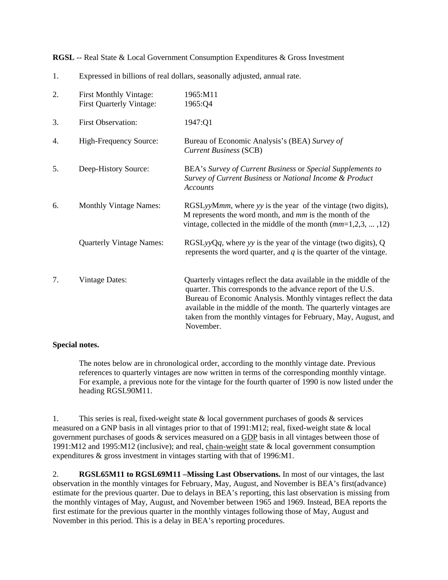**RGSL** -- Real State & Local Government Consumption Expenditures & Gross Investment

| 2. | <b>First Monthly Vintage:</b><br><b>First Quarterly Vintage:</b> | 1965:M11<br>1965:Q4                                                                                                                                                                                                                                                                                                                                    |
|----|------------------------------------------------------------------|--------------------------------------------------------------------------------------------------------------------------------------------------------------------------------------------------------------------------------------------------------------------------------------------------------------------------------------------------------|
| 3. | <b>First Observation:</b>                                        | 1947:Q1                                                                                                                                                                                                                                                                                                                                                |
| 4. | High-Frequency Source:                                           | Bureau of Economic Analysis's (BEA) Survey of<br><b>Current Business (SCB)</b>                                                                                                                                                                                                                                                                         |
| 5. | Deep-History Source:                                             | BEA's Survey of Current Business or Special Supplements to<br>Survey of Current Business or National Income & Product<br><b>Accounts</b>                                                                                                                                                                                                               |
| 6. | <b>Monthly Vintage Names:</b>                                    | RGSLyyMmm, where yy is the year of the vintage (two digits),<br>M represents the word month, and mm is the month of the<br>vintage, collected in the middle of the month $(mm=1,2,3,,12)$                                                                                                                                                              |
|    | <b>Quarterly Vintage Names:</b>                                  | $RGSLyyQq$ , where yy is the year of the vintage (two digits), Q<br>represents the word quarter, and $q$ is the quarter of the vintage.                                                                                                                                                                                                                |
| 7. | <b>Vintage Dates:</b>                                            | Quarterly vintages reflect the data available in the middle of the<br>quarter. This corresponds to the advance report of the U.S.<br>Bureau of Economic Analysis. Monthly vintages reflect the data<br>available in the middle of the month. The quarterly vintages are<br>taken from the monthly vintages for February, May, August, and<br>November. |

1. Expressed in billions of real dollars, seasonally adjusted, annual rate.

## **Special notes.**

The notes below are in chronological order, according to the monthly vintage date. Previous references to quarterly vintages are now written in terms of the corresponding monthly vintage. For example, a previous note for the vintage for the fourth quarter of 1990 is now listed under the heading RGSL90M11.

1. This series is real, fixed-weight state & local government purchases of goods & services measured on a GNP basis in all vintages prior to that of 1991:M12; real, fixed-weight state & local government purchases of goods & services measured on a GDP basis in all vintages between those of 1991:M12 and 1995:M12 (inclusive); and real, chain-weight state & local government consumption expenditures & gross investment in vintages starting with that of 1996:M1.

2. **RGSL65M11 to RGSL69M11 –Missing Last Observations.** In most of our vintages, the last observation in the monthly vintages for February, May, August, and November is BEA's first(advance) estimate for the previous quarter. Due to delays in BEA's reporting, this last observation is missing from the monthly vintages of May, August, and November between 1965 and 1969. Instead, BEA reports the first estimate for the previous quarter in the monthly vintages following those of May, August and November in this period. This is a delay in BEA's reporting procedures.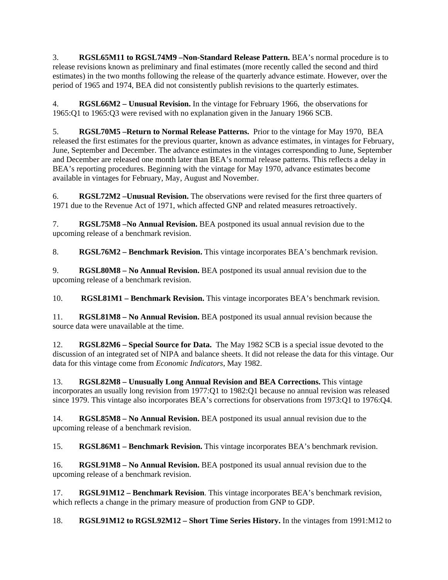3. **RGSL65M11 to RGSL74M9 –Non-Standard Release Pattern.** BEA's normal procedure is to release revisions known as preliminary and final estimates (more recently called the second and third estimates) in the two months following the release of the quarterly advance estimate. However, over the period of 1965 and 1974, BEA did not consistently publish revisions to the quarterly estimates.

4. **RGSL66M2 – Unusual Revision.** In the vintage for February 1966, the observations for 1965:Q1 to 1965:Q3 were revised with no explanation given in the January 1966 SCB.

5. **RGSL70M5 –Return to Normal Release Patterns.** Prior to the vintage for May 1970, BEA released the first estimates for the previous quarter, known as advance estimates, in vintages for February, June, September and December. The advance estimates in the vintages corresponding to June, September and December are released one month later than BEA's normal release patterns. This reflects a delay in BEA's reporting procedures. Beginning with the vintage for May 1970, advance estimates become available in vintages for February, May, August and November.

6. **RGSL72M2 –Unusual Revision.** The observations were revised for the first three quarters of 1971 due to the Revenue Act of 1971, which affected GNP and related measures retroactively.

7. **RGSL75M8 –No Annual Revision.** BEA postponed its usual annual revision due to the upcoming release of a benchmark revision.

8. **RGSL76M2 – Benchmark Revision.** This vintage incorporates BEA's benchmark revision.

9. **RGSL80M8 – No Annual Revision.** BEA postponed its usual annual revision due to the upcoming release of a benchmark revision.

10. **RGSL81M1 – Benchmark Revision.** This vintage incorporates BEA's benchmark revision.

11. **RGSL81M8 – No Annual Revision.** BEA postponed its usual annual revision because the source data were unavailable at the time.

12. **RGSL82M6 – Special Source for Data.** The May 1982 SCB is a special issue devoted to the discussion of an integrated set of NIPA and balance sheets. It did not release the data for this vintage. Our data for this vintage come from *Economic Indicators*, May 1982.

13. **RGSL82M8 – Unusually Long Annual Revision and BEA Corrections.** This vintage incorporates an usually long revision from 1977:Q1 to 1982:Q1 because no annual revision was released since 1979. This vintage also incorporates BEA's corrections for observations from 1973:Q1 to 1976:Q4.

14. **RGSL85M8 – No Annual Revision.** BEA postponed its usual annual revision due to the upcoming release of a benchmark revision.

15. **RGSL86M1 – Benchmark Revision.** This vintage incorporates BEA's benchmark revision.

16. **RGSL91M8 – No Annual Revision.** BEA postponed its usual annual revision due to the upcoming release of a benchmark revision.

17. **RGSL91M12 – Benchmark Revision**. This vintage incorporates BEA's benchmark revision, which reflects a change in the primary measure of production from GNP to GDP.

18. **RGSL91M12 to RGSL92M12 – Short Time Series History.** In the vintages from 1991:M12 to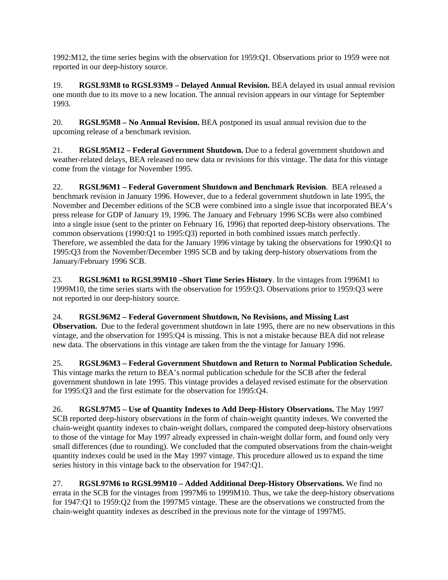1992:M12, the time series begins with the observation for 1959:Q1. Observations prior to 1959 were not reported in our deep-history source.

19. **RGSL93M8 to RGSL93M9 – Delayed Annual Revision.** BEA delayed its usual annual revision one month due to its move to a new location. The annual revision appears in our vintage for September 1993.

20. **RGSL95M8 – No Annual Revision.** BEA postponed its usual annual revision due to the upcoming release of a benchmark revision.

21. **RGSL95M12 – Federal Government Shutdown.** Due to a federal government shutdown and weather-related delays, BEA released no new data or revisions for this vintage. The data for this vintage come from the vintage for November 1995.

22. **RGSL96M1 – Federal Government Shutdown and Benchmark Revision**. BEA released a benchmark revision in January 1996. However, due to a federal government shutdown in late 1995, the November and December editions of the SCB were combined into a single issue that incorporated BEA's press release for GDP of January 19, 1996. The January and February 1996 SCBs were also combined into a single issue (sent to the printer on February 16, 1996) that reported deep-history observations. The common observations (1990:Q1 to 1995:Q3) reported in both combined issues match perfectly. Therefore, we assembled the data for the January 1996 vintage by taking the observations for 1990:Q1 to 1995:Q3 from the November/December 1995 SCB and by taking deep-history observations from the January/February 1996 SCB.

23. **RGSL96M1 to RGSL99M10 –Short Time Series History**. In the vintages from 1996M1 to 1999M10, the time series starts with the observation for 1959:Q3. Observations prior to 1959:Q3 were not reported in our deep-history source.

24. **RGSL96M2 – Federal Government Shutdown, No Revisions, and Missing Last Observation.** Due to the federal government shutdown in late 1995, there are no new observations in this vintage, and the observation for 1995:Q4 is missing. This is not a mistake because BEA did not release new data. The observations in this vintage are taken from the the vintage for January 1996.

25. **RGSL96M3 – Federal Government Shutdown and Return to Normal Publication Schedule.** This vintage marks the return to BEA's normal publication schedule for the SCB after the federal government shutdown in late 1995. This vintage provides a delayed revised estimate for the observation for 1995:Q3 and the first estimate for the observation for 1995:Q4.

26. **RGSL97M5 – Use of Quantity Indexes to Add Deep-History Observations.** The May 1997 SCB reported deep-history observations in the form of chain-weight quantity indexes. We converted the chain-weight quantity indexes to chain-weight dollars, compared the computed deep-history observations to those of the vintage for May 1997 already expressed in chain-weight dollar form, and found only very small differences (due to rounding). We concluded that the computed observations from the chain-weight quantity indexes could be used in the May 1997 vintage. This procedure allowed us to expand the time series history in this vintage back to the observation for 1947:Q1.

27. **RGSL97M6 to RGSL99M10 – Added Additional Deep-History Observations.** We find no errata in the SCB for the vintages from 1997M6 to 1999M10. Thus, we take the deep-history observations for 1947:Q1 to 1959:Q2 from the 1997M5 vintage. These are the observations we constructed from the chain-weight quantity indexes as described in the previous note for the vintage of 1997M5.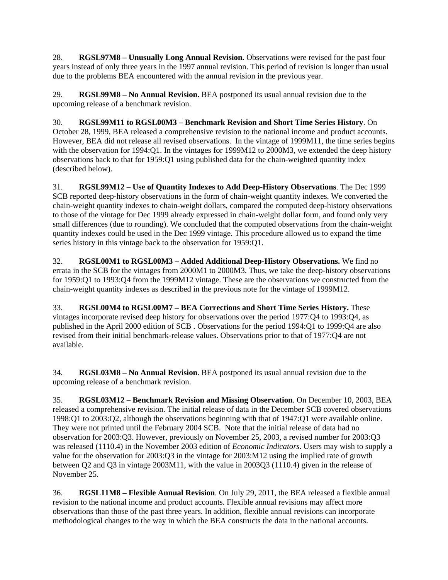28. **RGSL97M8 – Unusually Long Annual Revision.** Observations were revised for the past four years instead of only three years in the 1997 annual revision. This period of revision is longer than usual due to the problems BEA encountered with the annual revision in the previous year.

29. **RGSL99M8 – No Annual Revision.** BEA postponed its usual annual revision due to the upcoming release of a benchmark revision.

30. **RGSL99M11 to RGSL00M3 – Benchmark Revision and Short Time Series History**. On October 28, 1999, BEA released a comprehensive revision to the national income and product accounts. However, BEA did not release all revised observations. In the vintage of 1999M11, the time series begins with the observation for 1994:Q1. In the vintages for 1999M12 to 2000M3, we extended the deep history observations back to that for 1959:Q1 using published data for the chain-weighted quantity index (described below).

31. **RGSL99M12 – Use of Quantity Indexes to Add Deep-History Observations**. The Dec 1999 SCB reported deep-history observations in the form of chain-weight quantity indexes. We converted the chain-weight quantity indexes to chain-weight dollars, compared the computed deep-history observations to those of the vintage for Dec 1999 already expressed in chain-weight dollar form, and found only very small differences (due to rounding). We concluded that the computed observations from the chain-weight quantity indexes could be used in the Dec 1999 vintage. This procedure allowed us to expand the time series history in this vintage back to the observation for 1959:Q1.

32. **RGSL00M1 to RGSL00M3 – Added Additional Deep-History Observations.** We find no errata in the SCB for the vintages from 2000M1 to 2000M3. Thus, we take the deep-history observations for 1959:Q1 to 1993:Q4 from the 1999M12 vintage. These are the observations we constructed from the chain-weight quantity indexes as described in the previous note for the vintage of 1999M12.

33. **RGSL00M4 to RGSL00M7 – BEA Corrections and Short Time Series History.** These vintages incorporate revised deep history for observations over the period 1977:Q4 to 1993:Q4, as published in the April 2000 edition of SCB . Observations for the period 1994:Q1 to 1999:Q4 are also revised from their initial benchmark-release values. Observations prior to that of 1977:Q4 are not available.

34. **RGSL03M8 – No Annual Revision**. BEA postponed its usual annual revision due to the upcoming release of a benchmark revision.

35. **RGSL03M12 – Benchmark Revision and Missing Observation**. On December 10, 2003, BEA released a comprehensive revision. The initial release of data in the December SCB covered observations 1998:Q1 to 2003:Q2, although the observations beginning with that of 1947:Q1 were available online. They were not printed until the February 2004 SCB. Note that the initial release of data had no observation for 2003:Q3. However, previously on November 25, 2003, a revised number for 2003:Q3 was released (1110.4) in the November 2003 edition of *Economic Indicators*. Users may wish to supply a value for the observation for 2003:Q3 in the vintage for 2003:M12 using the implied rate of growth between Q2 and Q3 in vintage 2003M11, with the value in 2003Q3 (1110.4) given in the release of November 25.

36. **RGSL11M8 – Flexible Annual Revision**. On July 29, 2011, the BEA released a flexible annual revision to the national income and product accounts. Flexible annual revisions may affect more observations than those of the past three years. In addition, flexible annual revisions can incorporate methodological changes to the way in which the BEA constructs the data in the national accounts.